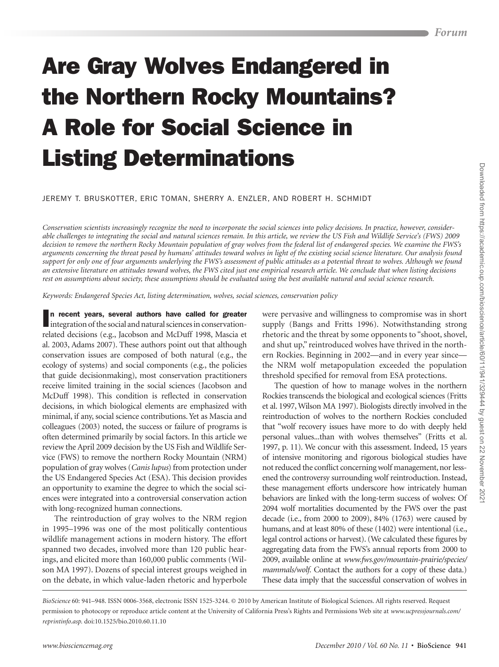# Are Gray Wolves Endangered in the Northern Rocky Mountains? A Role for Social Science in Listing Determinations

Jeremy T. Bruskotter, Eric Toman, Sherry A. Enzler, and Robert H. Schmidt

*Conservation scientists increasingly recognize the need to incorporate the social sciences into policy decisions. In practice, however, considerable challenges to integrating the social and natural sciences remain. In this article, we review the US Fish and Wildlife Service's (FWS) 2009 decision to remove the northern Rocky Mountain population of gray wolves from the federal list of endangered species. We examine the FWS's arguments concerning the threat posed by humans' attitudes toward wolves in light of the existing social science literature. Our analysis found support for only one of four arguments underlying the FWS's assessment of public attitudes as a potential threat to wolves. Although we found an extensive literature on attitudes toward wolves, the FWS cited just one empirical research article. We conclude that when listing decisions rest on assumptions about society, these assumptions should be evaluated using the best available natural and social science research.* 

*Keywords: Endangered Species Act, listing determination, wolves, social sciences, conservation policy*

In recent years, several authors have called for greater<br>integration of the social and natural sciences in conservationn recent years, several authors have called for greater related decisions (e.g., Jacobson and McDuff 1998, Mascia et al. 2003, Adams 2007). These authors point out that although conservation issues are composed of both natural (e.g., the ecology of systems) and social components (e.g., the policies that guide decisionmaking), most conservation practitioners receive limited training in the social sciences (Jacobson and McDuff 1998). This condition is reflected in conservation decisions, in which biological elements are emphasized with minimal, if any, social science contributions. Yet as Mascia and colleagues (2003) noted, the success or failure of programs is often determined primarily by social factors. In this article we review the April 2009 decision by the US Fish and Wildlife Service (FWS) to remove the northern Rocky Mountain (NRM) population of gray wolves (*Canis lupus*) from protection under the US Endangered Species Act (ESA). This decision provides an opportunity to examine the degree to which the social sciences were integrated into a controversial conservation action with long-recognized human connections.

The reintroduction of gray wolves to the NRM region in 1995–1996 was one of the most politically contentious wildlife management actions in modern history. The effort spanned two decades, involved more than 120 public hearings, and elicited more than 160,000 public comments (Wilson MA 1997). Dozens of special interest groups weighed in on the debate, in which value-laden rhetoric and hyperbole

were pervasive and willingness to compromise was in short supply (Bangs and Fritts 1996). Notwithstanding strong rhetoric and the threat by some opponents to "shoot, shovel, and shut up," reintroduced wolves have thrived in the northern Rockies. Beginning in 2002—and in every year since the NRM wolf metapopulation exceeded the population threshold specified for removal from ESA protections.

The question of how to manage wolves in the northern Rockies transcends the biological and ecological sciences (Fritts et al. 1997, Wilson MA 1997). Biologists directly involved in the reintroduction of wolves to the northern Rockies concluded that "wolf recovery issues have more to do with deeply held personal values...than with wolves themselves" (Fritts et al. 1997, p. 11). We concur with this assessment. Indeed, 15 years of intensive monitoring and rigorous biological studies have not reduced the conflict concerning wolf management, nor lessened the controversy surrounding wolf reintroduction. Instead, these management efforts underscore how intricately human behaviors are linked with the long-term success of wolves: Of 2094 wolf mortalities documented by the FWS over the past decade (i.e., from 2000 to 2009), 84% (1763) were caused by humans, and at least 80% of these (1402) were intentional (i.e., legal control actions or harvest). (We calculated these figures by aggregating data from the FWS's annual reports from 2000 to 2009, available online at *www.fws.gov/mountain-prairie/species/ mammals/wolf.* Contact the authors for a copy of these data.) These data imply that the successful conservation of wolves in

*BioScience* 60: 941–948. ISSN 0006-3568, electronic ISSN 1525-3244. © 2010 by American Institute of Biological Sciences. All rights reserved. Request permission to photocopy or reproduce article content at the University of California Press's Rights and Permissions Web site at *www.ucpressjournals.com/ reprintinfo.asp.* doi:10.1525/bio.2010.60.11.10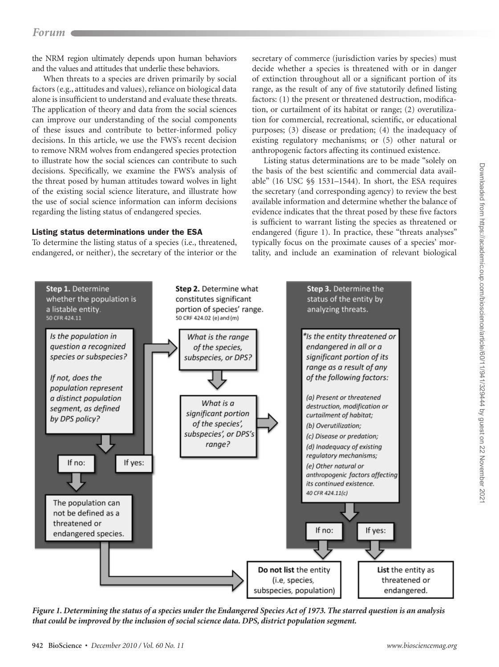the NRM region ultimately depends upon human behaviors and the values and attitudes that underlie these behaviors.

When threats to a species are driven primarily by social factors (e.g., attitudes and values), reliance on biological data alone is insufficient to understand and evaluate these threats. The application of theory and data from the social sciences can improve our understanding of the social components of these issues and contribute to better-informed policy decisions. In this article, we use the FWS's recent decision to remove NRM wolves from endangered species protection to illustrate how the social sciences can contribute to such decisions. Specifically, we examine the FWS's analysis of the threat posed by human attitudes toward wolves in light of the existing social science literature, and illustrate how the use of social science information can inform decisions regarding the listing status of endangered species.

## Listing status determinations under the ESA

To determine the listing status of a species (i.e., threatened, endangered, or neither), the secretary of the interior or the secretary of commerce (jurisdiction varies by species) must decide whether a species is threatened with or in danger of extinction throughout all or a significant portion of its range, as the result of any of five statutorily defined listing factors: (1) the present or threatened destruction, modification, or curtailment of its habitat or range; (2) overutilization for commercial, recreational, scientific, or educational purposes; (3) disease or predation; (4) the inadequacy of existing regulatory mechanisms; or (5) other natural or anthropogenic factors affecting its continued existence.

Listing status determinations are to be made "solely on the basis of the best scientific and commercial data available" (16 USC §§ 1531–1544). In short, the ESA requires the secretary (and corresponding agency) to review the best available information and determine whether the balance of evidence indicates that the threat posed by these five factors is sufficient to warrant listing the species as threatened or endangered (figure 1). In practice, these "threats analyses" typically focus on the proximate causes of a species' mortality, and include an examination of relevant biological



*Figure 1. Determining the status of a species under the Endangered Species Act of 1973. The starred question is an analysis that could be improved by the inclusion of social science data. DPS, district population segment.*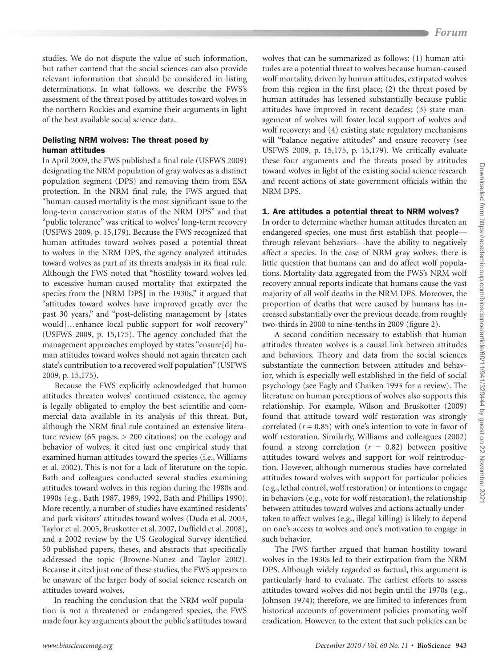studies. We do not dispute the value of such information, but rather contend that the social sciences can also provide relevant information that should be considered in listing determinations. In what follows, we describe the FWS's assessment of the threat posed by attitudes toward wolves in the northern Rockies and examine their arguments in light of the best available social science data.

## Delisting NRM wolves: The threat posed by human attitudes

In April 2009, the FWS published a final rule (USFWS 2009) designating the NRM population of gray wolves as a distinct population segment (DPS) and removing them from ESA protection. In the NRM final rule, the FWS argued that "human-caused mortality is the most significant issue to the long-term conservation status of the NRM DPS" and that "public tolerance" was critical to wolves' long-term recovery (USFWS 2009, p. 15,179). Because the FWS recognized that human attitudes toward wolves posed a potential threat to wolves in the NRM DPS, the agency analyzed attitudes toward wolves as part of its threats analysis in its final rule*.*  Although the FWS noted that "hostility toward wolves led to excessive human-caused mortality that extirpated the species from the [NRM DPS] in the 1930s," it argued that "attitudes toward wolves have improved greatly over the past 30 years," and "post-delisting management by [states would]…enhance local public support for wolf recovery" (USFWS 2009, p. 15,175). The agency concluded that the management approaches employed by states "ensure[d] human attitudes toward wolves should not again threaten each state's contribution to a recovered wolf population" (USFWS 2009, p. 15,175).

Because the FWS explicitly acknowledged that human attitudes threaten wolves' continued existence, the agency is legally obligated to employ the best scientific and commercial data available in its analysis of this threat. But, although the NRM final rule contained an extensive literature review  $(65 \text{ pages}, > 200 \text{ citations})$  on the ecology and behavior of wolves, it cited just one empirical study that examined human attitudes toward the species (i.e., Williams et al. 2002). This is not for a lack of literature on the topic. Bath and colleagues conducted several studies examining attitudes toward wolves in this region during the 1980s and 1990s (e.g., Bath 1987, 1989, 1992, Bath and Phillips 1990). More recently, a number of studies have examined residents' and park visitors' attitudes toward wolves (Duda et al. 2003, Taylor et al. 2005, Bruskotter et al. 2007, Duffield et al. 2008), and a 2002 review by the US Geological Survey identified 50 published papers, theses, and abstracts that specifically addressed the topic (Browne-Nunez and Taylor 2002). Because it cited just one of these studies, the FWS appears to be unaware of the larger body of social science research on attitudes toward wolves.

In reaching the conclusion that the NRM wolf population is not a threatened or endangered species, the FWS made four key arguments about the public's attitudes toward

wolves that can be summarized as follows: (1) human attitudes are a potential threat to wolves because human-caused wolf mortality, driven by human attitudes, extirpated wolves from this region in the first place; (2) the threat posed by human attitudes has lessened substantially because public attitudes have improved in recent decades; (3) state management of wolves will foster local support of wolves and wolf recovery; and (4) existing state regulatory mechanisms will "balance negative attitudes" and ensure recovery (see USFWS 2009, p. 15,175, p. 15,179). We critically evaluate these four arguments and the threats posed by attitudes toward wolves in light of the existing social science research and recent actions of state government officials within the NRM DPS.

## 1. Are attitudes a potential threat to NRM wolves?

In order to determine whether human attitudes threaten an endangered species, one must first establish that people through relevant behaviors—have the ability to negatively affect a species. In the case of NRM gray wolves, there is little question that humans can and do affect wolf populations. Mortality data aggregated from the FWS's NRM wolf recovery annual reports indicate that humans cause the vast majority of all wolf deaths in the NRM DPS. Moreover, the proportion of deaths that were caused by humans has increased substantially over the previous decade, from roughly two-thirds in 2000 to nine-tenths in 2009 (figure 2).

A second condition necessary to establish that human attitudes threaten wolves is a causal link between attitudes and behaviors. Theory and data from the social sciences substantiate the connection between attitudes and behavior, which is especially well established in the field of social psychology (see Eagly and Chaiken 1993 for a review). The literature on human perceptions of wolves also supports this relationship. For example, Wilson and Bruskotter (2009) found that attitude toward wolf restoration was strongly correlated  $(r = 0.85)$  with one's intention to vote in favor of wolf restoration. Similarly, Williams and colleagues (2002) found a strong correlation  $(r = 0.82)$  between positive attitudes toward wolves and support for wolf reintroduction. However, although numerous studies have correlated attitudes toward wolves with support for particular policies (e.g., lethal control, wolf restoration) or intentions to engage in behaviors (e.g., vote for wolf restoration), the relationship between attitudes toward wolves and actions actually undertaken to affect wolves (e.g., illegal killing) is likely to depend on one's access to wolves and one's motivation to engage in such behavior.

The FWS further argued that human hostility toward wolves in the 1930s led to their extirpation from the NRM DPS. Although widely regarded as factual, this argument is particularly hard to evaluate. The earliest efforts to assess attitudes toward wolves did not begin until the 1970s (e.g., Johnson 1974); therefore, we are limited to inferences from historical accounts of government policies promoting wolf eradication. However, to the extent that such policies can be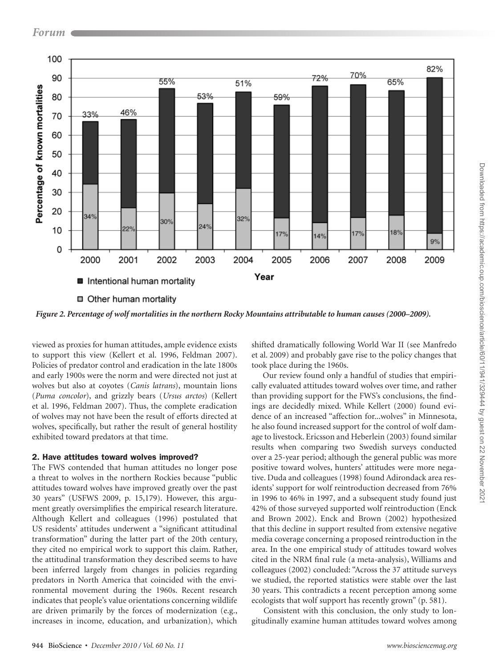

*Figure 2. Percentage of wolf mortalities in the northern Rocky Mountains attributable to human causes (2000–2009).*

viewed as proxies for human attitudes, ample evidence exists to support this view (Kellert et al. 1996, Feldman 2007). Policies of predator control and eradication in the late 1800s and early 1900s were the norm and were directed not just at wolves but also at coyotes (*Canis latrans*), mountain lions (*Puma concolor*), and grizzly bears (*Ursus arctos*) (Kellert et al. 1996, Feldman 2007). Thus, the complete eradication of wolves may not have been the result of efforts directed at wolves, specifically, but rather the result of general hostility exhibited toward predators at that time.

## 2. Have attitudes toward wolves improved?

The FWS contended that human attitudes no longer pose a threat to wolves in the northern Rockies because "public attitudes toward wolves have improved greatly over the past 30 years" (USFWS 2009, p. 15,179). However, this argument greatly oversimplifies the empirical research literature. Although Kellert and colleagues (1996) postulated that US residents' attitudes underwent a "significant attitudinal transformation" during the latter part of the 20th century, they cited no empirical work to support this claim. Rather, the attitudinal transformation they described seems to have been inferred largely from changes in policies regarding predators in North America that coincided with the environmental movement during the 1960s. Recent research indicates that people's value orientations concerning wildlife are driven primarily by the forces of modernization (e.g., increases in income, education, and urbanization), which shifted dramatically following World War II (see Manfredo et al. 2009) and probably gave rise to the policy changes that took place during the 1960s.

Our review found only a handful of studies that empirically evaluated attitudes toward wolves over time, and rather than providing support for the FWS's conclusions, the findings are decidedly mixed. While Kellert (2000) found evidence of an increased "affection for...wolves" in Minnesota, he also found increased support for the control of wolf damage to livestock. Ericsson and Heberlein (2003) found similar results when comparing two Swedish surveys conducted over a 25-year period; although the general public was more positive toward wolves, hunters' attitudes were more negative. Duda and colleagues (1998) found Adirondack area residents' support for wolf reintroduction decreased from 76% in 1996 to 46% in 1997, and a subsequent study found just 42% of those surveyed supported wolf reintroduction (Enck and Brown 2002). Enck and Brown (2002) hypothesized that this decline in support resulted from extensive negative media coverage concerning a proposed reintroduction in the area. In the one empirical study of attitudes toward wolves cited in the NRM final rule (a meta-analysis), Williams and colleagues (2002) concluded: "Across the 37 attitude surveys we studied, the reported statistics were stable over the last 30 years. This contradicts a recent perception among some ecologists that wolf support has recently grown" (p. 581).

Consistent with this conclusion, the only study to longitudinally examine human attitudes toward wolves among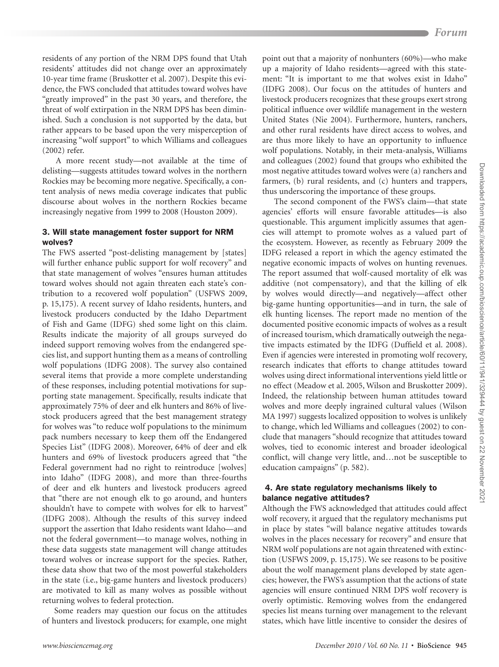residents of any portion of the NRM DPS found that Utah residents' attitudes did not change over an approximately 10-year time frame (Bruskotter et al. 2007). Despite this evidence, the FWS concluded that attitudes toward wolves have "greatly improved" in the past 30 years, and therefore, the threat of wolf extirpation in the NRM DPS has been diminished. Such a conclusion is not supported by the data, but rather appears to be based upon the very misperception of increasing "wolf support" to which Williams and colleagues (2002) refer.

A more recent study—not available at the time of delisting—suggests attitudes toward wolves in the northern Rockies may be becoming more negative. Specifically, a content analysis of news media coverage indicates that public discourse about wolves in the northern Rockies became increasingly negative from 1999 to 2008 (Houston 2009).

#### 3. Will state management foster support for NRM wolves?

The FWS asserted "post-delisting management by [states] will further enhance public support for wolf recovery" and that state management of wolves "ensures human attitudes toward wolves should not again threaten each state's contribution to a recovered wolf population" (USFWS 2009, p. 15,175). A recent survey of Idaho residents, hunters, and livestock producers conducted by the Idaho Department of Fish and Game (IDFG) shed some light on this claim. Results indicate the majority of all groups surveyed do indeed support removing wolves from the endangered species list, and support hunting them as a means of controlling wolf populations (IDFG 2008). The survey also contained several items that provide a more complete understanding of these responses, including potential motivations for supporting state management. Specifically, results indicate that approximately 75% of deer and elk hunters and 86% of livestock producers agreed that the best management strategy for wolves was "to reduce wolf populations to the minimum pack numbers necessary to keep them off the Endangered Species List" (IDFG 2008). Moreover, 64% of deer and elk hunters and 69% of livestock producers agreed that "the Federal government had no right to reintroduce [wolves] into Idaho" (IDFG 2008), and more than three-fourths of deer and elk hunters and livestock producers agreed that "there are not enough elk to go around, and hunters shouldn't have to compete with wolves for elk to harvest" (IDFG 2008). Although the results of this survey indeed support the assertion that Idaho residents want Idaho—and not the federal government—to manage wolves, nothing in these data suggests state management will change attitudes toward wolves or increase support for the species. Rather, these data show that two of the most powerful stakeholders in the state (i.e., big-game hunters and livestock producers) are motivated to kill as many wolves as possible without returning wolves to federal protection.

Some readers may question our focus on the attitudes of hunters and livestock producers; for example, one might

point out that a majority of nonhunters (60%)—who make up a majority of Idaho residents—agreed with this statement: "It is important to me that wolves exist in Idaho" (IDFG 2008). Our focus on the attitudes of hunters and livestock producers recognizes that these groups exert strong political influence over wildlife management in the western United States (Nie 2004). Furthermore, hunters, ranchers, and other rural residents have direct access to wolves, and are thus more likely to have an opportunity to influence wolf populations. Notably, in their meta-analysis, Williams and colleagues (2002) found that groups who exhibited the most negative attitudes toward wolves were (a) ranchers and farmers, (b) rural residents, and (c) hunters and trappers, thus underscoring the importance of these groups.

The second component of the FWS's claim—that state agencies' efforts will ensure favorable attitudes—is also questionable. This argument implicitly assumes that agencies will attempt to promote wolves as a valued part of the ecosystem. However, as recently as February 2009 the IDFG released a report in which the agency estimated the negative economic impacts of wolves on hunting revenues. The report assumed that wolf-caused mortality of elk was additive (not compensatory), and that the killing of elk by wolves would directly—and negatively—affect other big-game hunting opportunities—and in turn, the sale of elk hunting licenses. The report made no mention of the documented positive economic impacts of wolves as a result of increased tourism, which dramatically outweigh the negative impacts estimated by the IDFG (Duffield et al. 2008). Even if agencies were interested in promoting wolf recovery, research indicates that efforts to change attitudes toward wolves using direct informational interventions yield little or no effect (Meadow et al. 2005, Wilson and Bruskotter 2009). Indeed, the relationship between human attitudes toward wolves and more deeply ingrained cultural values (Wilson MA 1997) suggests localized opposition to wolves is unlikely to change, which led Williams and colleagues (2002) to conclude that managers "should recognize that attitudes toward wolves, tied to economic interest and broader ideological conflict, will change very little, and…not be susceptible to education campaigns" (p. 582).

#### 4. Are state regulatory mechanisms likely to balance negative attitudes?

Although the FWS acknowledged that attitudes could affect wolf recovery, it argued that the regulatory mechanisms put in place by states "will balance negative attitudes towards wolves in the places necessary for recovery" and ensure that NRM wolf populations are not again threatened with extinction (USFWS 2009, p. 15,175). We see reasons to be positive about the wolf management plans developed by state agencies; however, the FWS's assumption that the actions of state agencies will ensure continued NRM DPS wolf recovery is overly optimistic. Removing wolves from the endangered species list means turning over management to the relevant states, which have little incentive to consider the desires of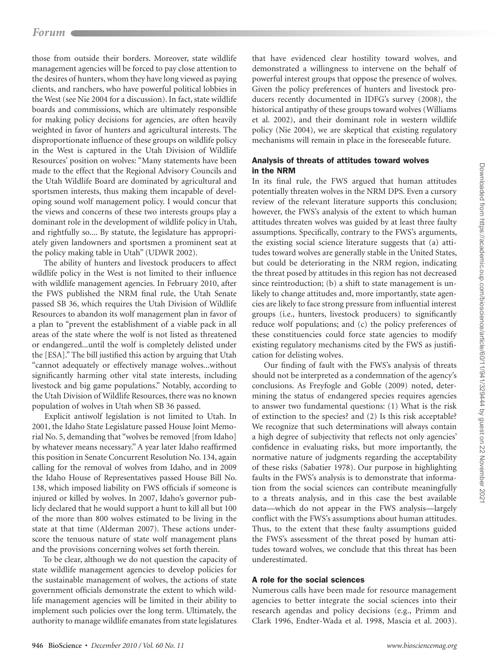those from outside their borders. Moreover, state wildlife management agencies will be forced to pay close attention to the desires of hunters, whom they have long viewed as paying clients, and ranchers, who have powerful political lobbies in the West (see Nie 2004 for a discussion). In fact, state wildlife boards and commissions, which are ultimately responsible for making policy decisions for agencies, are often heavily weighted in favor of hunters and agricultural interests. The disproportionate influence of these groups on wildlife policy in the West is captured in the Utah Division of Wildlife Resources' position on wolves: "Many statements have been made to the effect that the Regional Advisory Councils and the Utah Wildlife Board are dominated by agricultural and sportsmen interests, thus making them incapable of developing sound wolf management policy. I would concur that the views and concerns of these two interests groups play a dominant role in the development of wildlife policy in Utah, and rightfully so.... By statute, the legislature has appropriately given landowners and sportsmen a prominent seat at the policy making table in Utah" (UDWR 2002).

The ability of hunters and livestock producers to affect wildlife policy in the West is not limited to their influence with wildlife management agencies. In February 2010, after the FWS published the NRM final rule, the Utah Senate passed SB 36, which requires the Utah Division of Wildlife Resources to abandon its wolf management plan in favor of a plan to "prevent the establishment of a viable pack in all areas of the state where the wolf is not listed as threatened or endangered...until the wolf is completely delisted under the [ESA]." The bill justified this action by arguing that Utah "cannot adequately or effectively manage wolves...without significantly harming other vital state interests, including livestock and big game populations." Notably, according to the Utah Division of Wildlife Resources, there was no known population of wolves in Utah when SB 36 passed.

Explicit antiwolf legislation is not limited to Utah. In 2001, the Idaho State Legislature passed House Joint Memorial No. 5, demanding that "wolves be removed [from Idaho] by whatever means necessary." A year later Idaho reaffirmed this position in Senate Concurrent Resolution No. 134, again calling for the removal of wolves from Idaho, and in 2009 the Idaho House of Representatives passed House Bill No. 138, which imposed liability on FWS officials if someone is injured or killed by wolves. In 2007, Idaho's governor publicly declared that he would support a hunt to kill all but 100 of the more than 800 wolves estimated to be living in the state at that time (Alderman 2007). These actions underscore the tenuous nature of state wolf management plans and the provisions concerning wolves set forth therein.

To be clear, although we do not question the capacity of state wildlife management agencies to develop policies for the sustainable management of wolves, the actions of state government officials demonstrate the extent to which wildlife management agencies will be limited in their ability to implement such policies over the long term. Ultimately, the authority to manage wildlife emanates from state legislatures

that have evidenced clear hostility toward wolves, and demonstrated a willingness to intervene on the behalf of powerful interest groups that oppose the presence of wolves. Given the policy preferences of hunters and livestock producers recently documented in IDFG's survey (2008), the historical antipathy of these groups toward wolves (Williams et al. 2002), and their dominant role in western wildlife policy (Nie 2004), we are skeptical that existing regulatory mechanisms will remain in place in the foreseeable future.

## Analysis of threats of attitudes toward wolves in the NRM

In its final rule, the FWS argued that human attitudes potentially threaten wolves in the NRM DPS. Even a cursory review of the relevant literature supports this conclusion; however, the FWS's analysis of the extent to which human attitudes threaten wolves was guided by at least three faulty assumptions. Specifically, contrary to the FWS's arguments, the existing social science literature suggests that (a) attitudes toward wolves are generally stable in the United States, but could be deteriorating in the NRM region, indicating the threat posed by attitudes in this region has not decreased since reintroduction; (b) a shift to state management is unlikely to change attitudes and, more importantly, state agencies are likely to face strong pressure from influential interest groups (i.e., hunters, livestock producers) to significantly reduce wolf populations; and (c) the policy preferences of these constituencies could force state agencies to modify existing regulatory mechanisms cited by the FWS as justification for delisting wolves.

Our finding of fault with the FWS's analysis of threats should not be interpreted as a condemnation of the agency's conclusions. As Freyfogle and Goble (2009) noted, determining the status of endangered species requires agencies to answer two fundamental questions: (1) What is the risk of extinction to the species? and (2) Is this risk acceptable? We recognize that such determinations will always contain a high degree of subjectivity that reflects not only agencies' confidence in evaluating risks, but more importantly, the normative nature of judgments regarding the acceptability of these risks (Sabatier 1978). Our purpose in highlighting faults in the FWS's analysis is to demonstrate that information from the social sciences can contribute meaningfully to a threats analysis, and in this case the best available data—which do not appear in the FWS analysis—largely conflict with the FWS's assumptions about human attitudes. Thus, to the extent that these faulty assumptions guided the FWS's assessment of the threat posed by human attitudes toward wolves, we conclude that this threat has been underestimated.

#### A role for the social sciences

Numerous calls have been made for resource management agencies to better integrate the social sciences into their research agendas and policy decisions (e.g., Primm and Clark 1996, Endter-Wada et al. 1998, Mascia et al. 2003).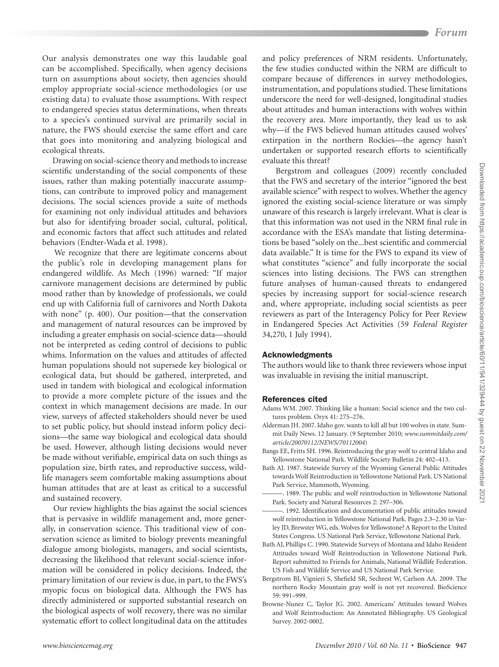Our analysis demonstrates one way this laudable goal can be accomplished. Specifically, when agency decisions turn on assumptions about society, then agencies should employ appropriate social-science methodologies (or use existing data) to evaluate those assumptions. With respect to endangered species status determinations, when threats to a species's continued survival are primarily social in nature, the FWS should exercise the same effort and care that goes into monitoring and analyzing biological and ecological threats.

Drawing on social-science theory and methods to increase scientific understanding of the social components of these issues, rather than making potentially inaccurate assumptions, can contribute to improved policy and management decisions. The social sciences provide a suite of methods for examining not only individual attitudes and behaviors but also for identifying broader social, cultural, political, and economic factors that affect such attitudes and related behaviors (Endter-Wada et al. 1998).

We recognize that there are legitimate concerns about the public's role in developing management plans for endangered wildlife. As Mech (1996) warned: "If major carnivore management decisions are determined by public mood rather than by knowledge of professionals, we could end up with California full of carnivores and North Dakota with none" (p. 400). Our position—that the conservation and management of natural resources can be improved by including a greater emphasis on social-science data—should not be interpreted as ceding control of decisions to public whims. Information on the values and attitudes of affected human populations should not supersede key biological or ecological data, but should be gathered, interpreted, and used in tandem with biological and ecological information to provide a more complete picture of the issues and the context in which management decisions are made. In our view, surveys of affected stakeholders should never be used to set public policy, but should instead inform policy decisions—the same way biological and ecological data should be used. However, although listing decisions would never be made without verifiable, empirical data on such things as population size, birth rates, and reproductive success, wildlife managers seem comfortable making assumptions about human attitudes that are at least as critical to a successful and sustained recovery.

Our review highlights the bias against the social sciences that is pervasive in wildlife management and, more generally, in conservation science. This traditional view of conservation science as limited to biology prevents meaningful dialogue among biologists, managers, and social scientists, decreasing the likelihood that relevant social-science information will be considered in policy decisions. Indeed, the primary limitation of our review is due, in part, to the FWS's myopic focus on biological data. Although the FWS has directly administered or supported substantial research on the biological aspects of wolf recovery, there was no similar systematic effort to collect longitudinal data on the attitudes

and policy preferences of NRM residents. Unfortunately, the few studies conducted within the NRM are difficult to compare because of differences in survey methodologies, instrumentation, and populations studied. These limitations underscore the need for well-designed, longitudinal studies about attitudes and human interactions with wolves within the recovery area. More importantly, they lead us to ask why—if the FWS believed human attitudes caused wolves' extirpation in the northern Rockies—the agency hasn't undertaken or supported research efforts to scientifically evaluate this threat?

Bergstrom and colleagues (2009) recently concluded that the FWS and secretary of the interior "ignored the best available science" with respect to wolves. Whether the agency ignored the existing social-science literature or was simply unaware of this research is largely irrelevant. What is clear is that this information was not used in the NRM final rule in accordance with the ESA's mandate that listing determinations be based "solely on the...best scientific and commercial data available." It is time for the FWS to expand its view of what constitutes "science" and fully incorporate the social sciences into listing decisions. The FWS can strengthen future analyses of human-caused threats to endangered species by increasing support for social-science research and, where appropriate, including social scientists as peer reviewers as part of the Interagency Policy for Peer Review in Endangered Species Act Activities (59 *Federal Register* 34,270, 1 July 1994).

#### Acknowledgments

The authors would like to thank three reviewers whose input was invaluable in revising the initial manuscript.

#### References cited

- Adams WM. 2007. Thinking like a human: Social science and the two cultures problem. Oryx 41: 275–276.
- Alderman JH. 2007. Idaho gov. wants to kill all but 100 wolves in state. Summit Daily News. 12 January. (9 September 2010; *www.summitdaily.com/ article/20070112/NEWS/70112004*)
- Bangs EE, Fritts SH. 1996. Reintroducing the gray wolf to central Idaho and Yellowstone National Park. Wildlife Society Bulletin 24: 402–413.
- Bath AJ. 1987. Statewide Survey of the Wyoming General Public Attitudes towards Wolf Reintroduction in Yellowstone National Park. US National Park Service, Mammoth, Wyoming.
- -. 1989. The public and wolf reintroduction in Yellowstone National Park. Society and Natural Resources 2: 297–306.
- -. 1992. Identification and documentation of public attitudes toward wolf reintroduction in Yellowstone National Park. Pages 2.3–2.30 in Varley JD, Brewster WG, eds. Wolves for Yellowstone? A Report to the United States Congress. US National Park Service, Yellowstone National Park.
- Bath AJ, Phillips C. 1990. Statewide Surveys of Montana and Idaho Resident Attitudes toward Wolf Reintroduction in Yellowstone National Park. Report submitted to Friends for Animals, National Wildlife Federation. US Fish and Wildlife Service and US National Park Service.
- Bergstrom BJ, Vignieri S, Shefield SR, Sechrest W, Carlson AA. 2009. The northern Rocky Mountain gray wolf is not yet recovered. BioScience 59: 991–999.
- Browne-Nunez C, Taylor JG. 2002. Americans' Attitudes toward Wolves and Wolf Reintroduction: An Annotated Bibliography. US Geological Survey. 2002-0002.